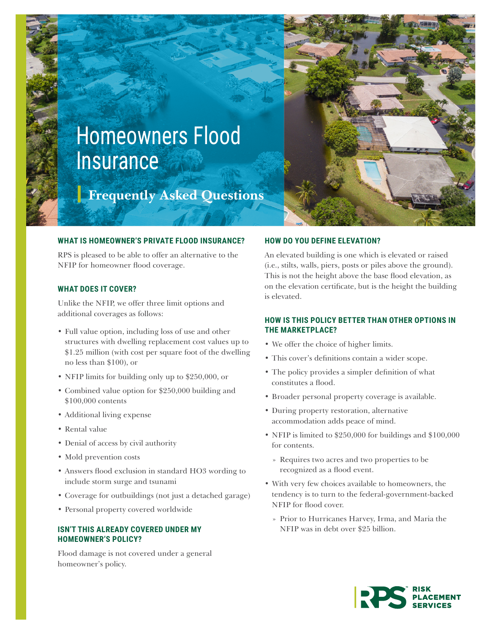

# Homeowners Flood Insurance

**Frequently Asked Questions**

#### **WHAT IS HOMEOWNER'S PRIVATE FLOOD INSURANCE?**

RPS is pleased to be able to offer an alternative to the NFIP for homeowner flood coverage.

# **WHAT DOES IT COVER?**

Unlike the NFIP, we offer three limit options and additional coverages as follows:

- Full value option, including loss of use and other structures with dwelling replacement cost values up to \$1.25 million (with cost per square foot of the dwelling no less than \$100), or
- NFIP limits for building only up to \$250,000, or
- Combined value option for \$250,000 building and \$100,000 contents
- Additional living expense
- Rental value
- Denial of access by civil authority
- Mold prevention costs
- Answers flood exclusion in standard HO3 wording to include storm surge and tsunami
- Coverage for outbuildings (not just a detached garage)
- Personal property covered worldwide

# **ISN'T THIS ALREADY COVERED UNDER MY HOMEOWNER'S POLICY?**

Flood damage is not covered under a general homeowner's policy.

## **HOW DO YOU DEFINE ELEVATION?**

An elevated building is one which is elevated or raised (i.e., stilts, walls, piers, posts or piles above the ground). This is not the height above the base flood elevation, as on the elevation certificate, but is the height the building is elevated.

# **HOW IS THIS POLICY BETTER THAN OTHER OPTIONS IN THE MARKETPLACE?**

- We offer the choice of higher limits.
- This cover's definitions contain a wider scope.
- The policy provides a simpler definition of what constitutes a flood.
- Broader personal property coverage is available.
- During property restoration, alternative accommodation adds peace of mind.
- NFIP is limited to \$250,000 for buildings and \$100,000 for contents.
	- » Requires two acres and two properties to be recognized as a flood event.
- With very few choices available to homeowners, the tendency is to turn to the federal-government-backed NFIP for flood cover.
	- » Prior to Hurricanes Harvey, Irma, and Maria the NFIP was in debt over \$25 billion.